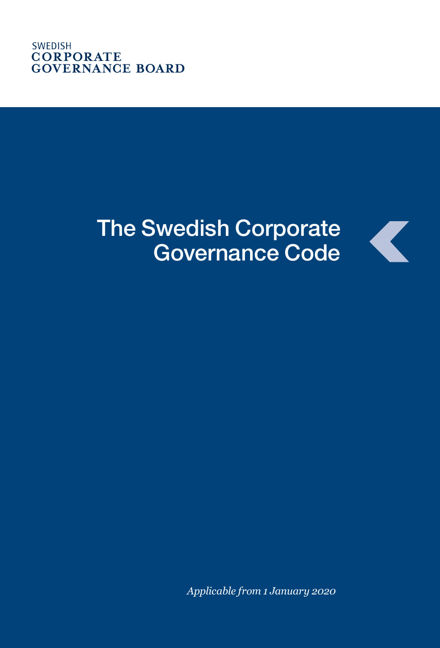# The Swedish Corporate Governance Code

Z

*Applicable from 1 January 2020*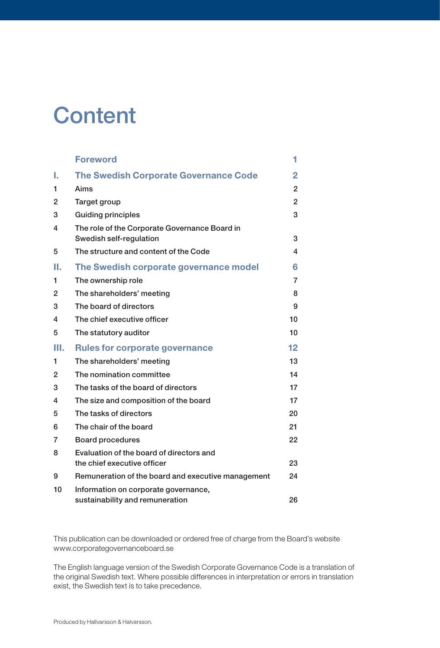## **Content**

|    | <b>Foreword</b>                                                          | 1              |
|----|--------------------------------------------------------------------------|----------------|
| ı. | <b>The Swedish Corporate Governance Code</b>                             | 2              |
| 1  | Aims                                                                     | 2              |
| 2  | Target group                                                             | $\overline{2}$ |
| 3  | <b>Guiding principles</b>                                                | 3              |
| 4  | The role of the Corporate Governance Board in<br>Swedish self-regulation | 3              |
| 5  | The structure and content of the Code                                    | 4              |
| н. | The Swedish corporate governance model                                   | 6              |
| 1  | The ownership role                                                       | 7              |
| 2  | The shareholders' meeting                                                | 8              |
| 3  | The board of directors                                                   | 9              |
| 4  | The chief executive officer                                              | 10             |
| 5  | The statutory auditor                                                    | 10             |
| Ш. | <b>Rules for corporate governance</b>                                    | $12 \,$        |
| 1  | The shareholders' meeting                                                | 13             |
| 2  | The nomination committee                                                 | 14             |
| 3  | The tasks of the board of directors                                      | 17             |
| 4  | The size and composition of the board                                    | 17             |
| 5  | The tasks of directors                                                   | 20             |
| 6  | The chair of the board                                                   | 21             |
| 7  | <b>Board procedures</b>                                                  | 22             |
| 8  | Evaluation of the board of directors and<br>the chief executive officer  | 23             |
| 9  | Remuneration of the board and executive management                       | 24             |
| 10 | Information on corporate governance,<br>sustainability and remuneration  | 26             |

This publication can be downloaded or ordered free of charge from the Board's website www.corporategovernanceboard.se

The English language version of the Swedish Corporate Governance Code is a translation of the original Swedish text. Where possible differences in interpretation or errors in translation exist, the Swedish text is to take precedence.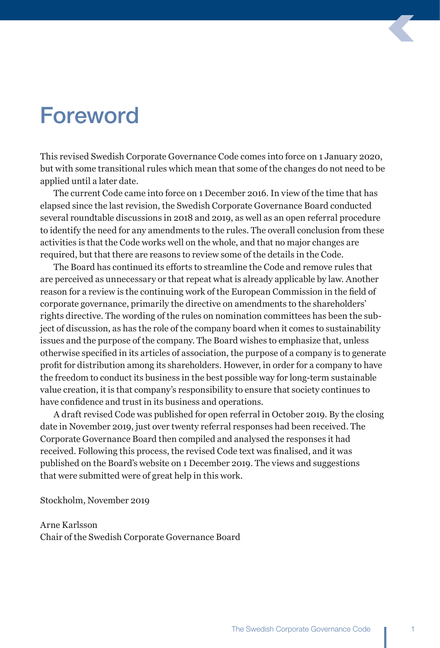## Foreword

This revised Swedish Corporate Governance Code comes into force on 1 January 2020, but with some transitional rules which mean that some of the changes do not need to be applied until a later date.

The current Code came into force on 1 December 2016. In view of the time that has elapsed since the last revision, the Swedish Corporate Governance Board conducted several roundtable discussions in 2018 and 2019, as well as an open referral procedure to identify the need for any amendments to the rules. The overall conclusion from these activities is that the Code works well on the whole, and that no major changes are required, but that there are reasons to review some of the details in the Code.

The Board has continued its efforts to streamline the Code and remove rules that are perceived as unnecessary or that repeat what is already applicable by law. Another reason for a review is the continuing work of the European Commission in the field of corporate governance, primarily the directive on amendments to the shareholders' rights directive. The wording of the rules on nomination committees has been the subject of discussion, as has the role of the company board when it comes to sustainability issues and the purpose of the company. The Board wishes to emphasize that, unless otherwise specified in its articles of association, the purpose of a company is to generate profit for distribution among its shareholders. However, in order for a company to have the freedom to conduct its business in the best possible way for long-term sustainable value creation, it is that company's responsibility to ensure that society continues to have confidence and trust in its business and operations.

A draft revised Code was published for open referral in October 2019. By the closing date in November 2019, just over twenty referral responses had been received. The Corporate Governance Board then compiled and analysed the responses it had received. Following this process, the revised Code text was finalised, and it was published on the Board's website on 1 December 2019. The views and suggestions that were submitted were of great help in this work.

Stockholm, November 2019

Arne Karlsson Chair of the Swedish Corporate Governance Board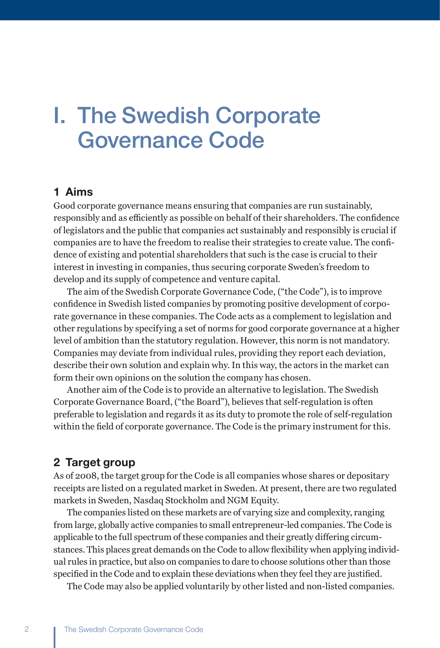## I. The Swedish Corporate Governance Code

#### 1 Aims

Good corporate governance means ensuring that companies are run sustainably, responsibly and as efficiently as possible on behalf of their shareholders. The confidence of legislators and the public that companies act sustainably and responsibly is crucial if companies are to have the freedom to realise their strategies to create value. The confidence of existing and potential shareholders that such is the case is crucial to their interest in investing in companies, thus securing corporate Sweden's freedom to develop and its supply of competence and venture capital.

The aim of the Swedish Corporate Governance Code, ("the Code"), is to improve confidence in Swedish listed companies by promoting positive development of corporate governance in these companies. The Code acts as a complement to legislation and other regulations by specifying a set of norms for good corporate governance at a higher level of ambition than the statutory regulation. However, this norm is not mandatory. Companies may deviate from individual rules, providing they report each deviation, describe their own solution and explain why. In this way, the actors in the market can form their own opinions on the solution the company has chosen.

Another aim of the Code is to provide an alternative to legislation. The Swedish Corporate Governance Board, ("the Board"), believes that self-regulation is often preferable to legislation and regards it as its duty to promote the role of self-regulation within the field of corporate governance. The Code is the primary instrument for this.

#### 2 Target group

As of 2008, the target group for the Code is all companies whose shares or depositary receipts are listed on a regulated market in Sweden. At present, there are two regulated markets in Sweden, Nasdaq Stockholm and NGM Equity.

The companies listed on these markets are of varying size and complexity, ranging from large, globally active companies to small entrepreneur-led companies. The Code is applicable to the full spectrum of these companies and their greatly differing circumstances. This places great demands on the Code to allow flexibility when applying individual rules in practice, but also on companies to dare to choose solutions other than those specified in the Code and to explain these deviations when they feel they are justified.

The Code may also be applied voluntarily by other listed and non-listed companies.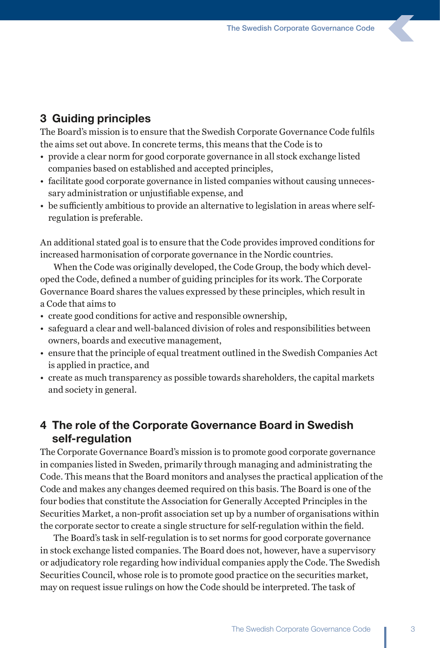### 3 Guiding principles

The Board's mission is to ensure that the Swedish Corporate Governance Code fulfils the aims set out above. In concrete terms, this means that the Code is to

- provide a clear norm for good corporate governance in all stock exchange listed companies based on established and accepted principles,
- facilitate good corporate governance in listed companies without causing unnecessary administration or unjustifiable expense, and
- be sufficiently ambitious to provide an alternative to legislation in areas where selfregulation is preferable.

An additional stated goal is to ensure that the Code provides improved conditions for increased harmonisation of corporate governance in the Nordic countries.

When the Code was originally developed, the Code Group, the body which developed the Code, defined a number of guiding principles for its work. The Corporate Governance Board shares the values expressed by these principles, which result in a Code that aims to

- create good conditions for active and responsible ownership,
- safeguard a clear and well-balanced division of roles and responsibilities between owners, boards and executive management,
- ensure that the principle of equal treatment outlined in the Swedish Companies Act is applied in practice, and
- create as much transparency as possible towards shareholders, the capital markets and society in general.

### 4 The role of the Corporate Governance Board in Swedish self-regulation

The Corporate Governance Board's mission is to promote good corporate governance in companies listed in Sweden, primarily through managing and administrating the Code. This means that the Board monitors and analyses the practical application of the Code and makes any changes deemed required on this basis. The Board is one of the four bodies that constitute the Association for Generally Accepted Principles in the Securities Market, a non-profit association set up by a number of organisations within the corporate sector to create a single structure for self-regulation within the field.

The Board's task in self-regulation is to set norms for good corporate governance in stock exchange listed companies. The Board does not, however, have a supervisory or adjudicatory role regarding how individual companies apply the Code. The Swedish Securities Council, whose role is to promote good practice on the securities market, may on request issue rulings on how the Code should be interpreted. The task of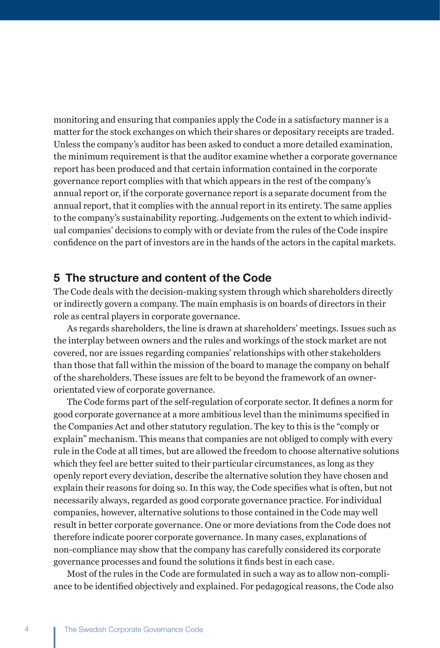monitoring and ensuring that companies apply the Code in a satisfactory manner is a matter for the stock exchanges on which their shares or depositary receipts are traded. Unless the company's auditor has been asked to conduct a more detailed examination, the minimum requirement is that the auditor examine whether a corporate governance report has been produced and that certain information contained in the corporate governance report complies with that which appears in the rest of the company's annual report or, if the corporate governance report is a separate document from the annual report, that it complies with the annual report in its entirety. The same applies to the company's sustainability reporting. Judgements on the extent to which individual companies' decisions to comply with or deviate from the rules of the Code inspire confidence on the part of investors are in the hands of the actors in the capital markets.

#### 5 The structure and content of the Code

The Code deals with the decision-making system through which shareholders directly or indirectly govern a company. The main emphasis is on boards of directors in their role as central players in corporate governance.

As regards shareholders, the line is drawn at shareholders' meetings. Issues such as the interplay between owners and the rules and workings of the stock market are not covered, nor are issues regarding companies' relationships with other stakeholders than those that fall within the mission of the board to manage the company on behalf of the shareholders. These issues are felt to be beyond the framework of an ownerorientated view of corporate governance.

The Code forms part of the self-regulation of corporate sector. It defines a norm for good corporate governance at a more ambitious level than the minimums specified in the Companies Act and other statutory regulation. The key to this is the "comply or explain" mechanism. This means that companies are not obliged to comply with every rule in the Code at all times, but are allowed the freedom to choose alternative solutions which they feel are better suited to their particular circumstances, as long as they openly report every deviation, describe the alternative solution they have chosen and explain their reasons for doing so. In this way, the Code specifies what is often, but not necessarily always, regarded as good corporate governance practice. For individual companies, however, alternative solutions to those contained in the Code may well result in better corporate governance. One or more deviations from the Code does not therefore indicate poorer corporate governance. In many cases, explanations of non-compliance may show that the company has carefully considered its corporate governance processes and found the solutions it finds best in each case.

Most of the rules in the Code are formulated in such a way as to allow non-compliance to be identified objectively and explained. For pedagogical reasons, the Code also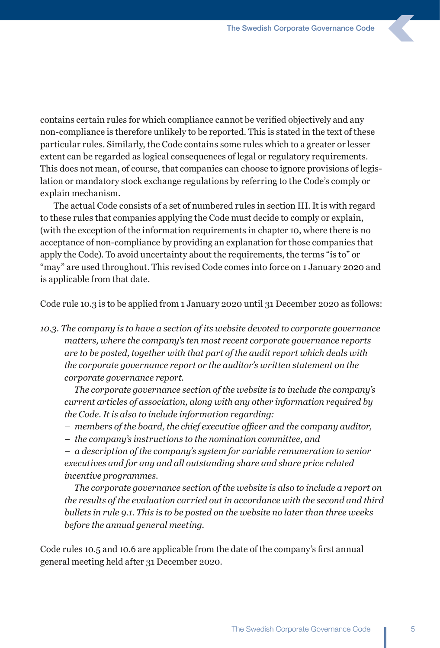contains certain rules for which compliance cannot be verified objectively and any non-compliance is therefore unlikely to be reported. This is stated in the text of these particular rules. Similarly, the Code contains some rules which to a greater or lesser extent can be regarded as logical consequences of legal or regulatory requirements. This does not mean, of course, that companies can choose to ignore provisions of legislation or mandatory stock exchange regulations by referring to the Code's comply or explain mechanism.

The actual Code consists of a set of numbered rules in section III. It is with regard to these rules that companies applying the Code must decide to comply or explain, (with the exception of the information requirements in chapter 10, where there is no acceptance of non-compliance by providing an explanation for those companies that apply the Code). To avoid uncertainty about the requirements, the terms "is to" or "may" are used throughout. This revised Code comes into force on 1 January 2020 and is applicable from that date.

Code rule 10.3 is to be applied from 1 January 2020 until 31 December 2020 as follows:

*10.3. The company is to have a section of its website devoted to corporate governance matters, where the company's ten most recent corporate governance reports are to be posted, together with that part of the audit report which deals with the corporate governance report or the auditor's written statement on the corporate governance report.*

*The corporate governance section of the website is to include the company's current articles of association, along with any other information required by the Code. It is also to include information regarding:*

- *members of the board, the chief executive officer and the company auditor,*
- *– the company's instructions to the nomination committee, and*

*– a description of the company's system for variable remuneration to senior executives and for any and all outstanding share and share price related incentive programmes.*

*The corporate governance section of the website is also to include a report on the results of the evaluation carried out in accordance with the second and third bullets in rule 9.1. This is to be posted on the website no later than three weeks before the annual general meeting.*

Code rules 10.5 and 10.6 are applicable from the date of the company's first annual general meeting held after 31 December 2020.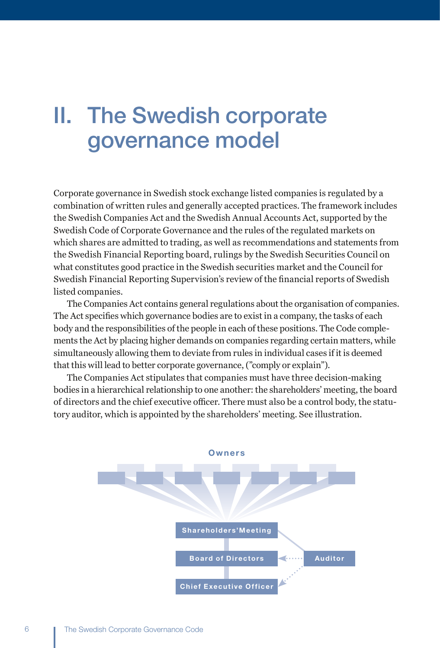## II. The Swedish corporate governance model

Corporate governance in Swedish stock exchange listed companies is regulated by a combination of written rules and generally accepted practices. The framework includes the Swedish Companies Act and the Swedish Annual Accounts Act, supported by the Swedish Code of Corporate Governance and the rules of the regulated markets on which shares are admitted to trading, as well as recommendations and statements from the Swedish Financial Reporting board, rulings by the Swedish Securities Council on what constitutes good practice in the Swedish securities market and the Council for Swedish Financial Reporting Supervision's review of the financial reports of Swedish listed companies.

The Companies Act contains general regulations about the organisation of companies. The Act specifies which governance bodies are to exist in a company, the tasks of each body and the responsibilities of the people in each of these positions. The Code complements the Act by placing higher demands on companies regarding certain matters, while simultaneously allowing them to deviate from rules in individual cases if it is deemed that this will lead to better corporate governance, ("comply or explain").

The Companies Act stipulates that companies must have three decision-making bodies in a hierarchical relationship to one another: the shareholders' meeting, the board of directors and the chief executive officer. There must also be a control body, the statutory auditor, which is appointed by the shareholders' meeting. See illustration.

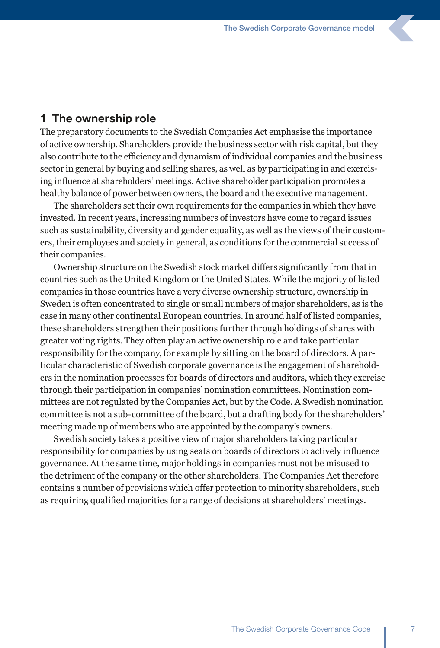#### 1 The ownership role

The preparatory documents to the Swedish Companies Act emphasise the importance of active ownership. Shareholders provide the business sector with risk capital, but they also contribute to the efficiency and dynamism of individual companies and the business sector in general by buying and selling shares, as well as by participating in and exercising influence at shareholders' meetings. Active shareholder participation promotes a healthy balance of power between owners, the board and the executive management.

The shareholders set their own requirements for the companies in which they have invested. In recent years, increasing numbers of investors have come to regard issues such as sustainability, diversity and gender equality, as well as the views of their customers, their employees and society in general, as conditions for the commercial success of their companies.

Ownership structure on the Swedish stock market differs significantly from that in countries such as the United Kingdom or the United States. While the majority of listed companies in those countries have a very diverse ownership structure, ownership in Sweden is often concentrated to single or small numbers of major shareholders, as is the case in many other continental European countries. In around half of listed companies, these shareholders strengthen their positions further through holdings of shares with greater voting rights. They often play an active ownership role and take particular responsibility for the company, for example by sitting on the board of directors. A particular characteristic of Swedish corporate governance is the engagement of shareholders in the nomination processes for boards of directors and auditors, which they exercise through their participation in companies' nomination committees. Nomination committees are not regulated by the Companies Act, but by the Code. A Swedish nomination committee is not a sub-committee of the board, but a drafting body for the shareholders' meeting made up of members who are appointed by the company's owners.

Swedish society takes a positive view of major shareholders taking particular responsibility for companies by using seats on boards of directors to actively influence governance. At the same time, major holdings in companies must not be misused to the detriment of the company or the other shareholders. The Companies Act therefore contains a number of provisions which offer protection to minority shareholders, such as requiring qualified majorities for a range of decisions at shareholders' meetings.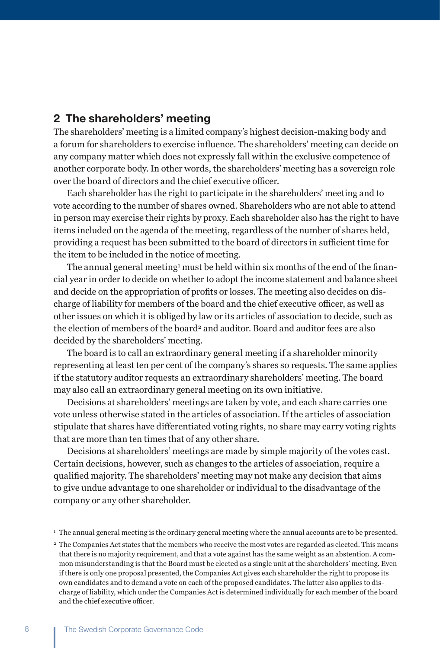### 2 The shareholders' meeting

The shareholders' meeting is a limited company's highest decision-making body and a forum for shareholders to exercise influence. The shareholders' meeting can decide on any company matter which does not expressly fall within the exclusive competence of another corporate body. In other words, the shareholders' meeting has a sovereign role over the board of directors and the chief executive officer.

Each shareholder has the right to participate in the shareholders' meeting and to vote according to the number of shares owned. Shareholders who are not able to attend in person may exercise their rights by proxy. Each shareholder also has the right to have items included on the agenda of the meeting, regardless of the number of shares held, providing a request has been submitted to the board of directors in sufficient time for the item to be included in the notice of meeting.

The annual general meeting<sup>1</sup> must be held within six months of the end of the financial year in order to decide on whether to adopt the income statement and balance sheet and decide on the appropriation of profits or losses. The meeting also decides on discharge of liability for members of the board and the chief executive officer, as well as other issues on which it is obliged by law or its articles of association to decide, such as the election of members of the board<sup>2</sup> and auditor. Board and auditor fees are also decided by the shareholders' meeting.

The board is to call an extraordinary general meeting if a shareholder minority representing at least ten per cent of the company's shares so requests. The same applies if the statutory auditor requests an extraordinary shareholders' meeting. The board may also call an extraordinary general meeting on its own initiative.

Decisions at shareholders' meetings are taken by vote, and each share carries one vote unless otherwise stated in the articles of association. If the articles of association stipulate that shares have differentiated voting rights, no share may carry voting rights that are more than ten times that of any other share.

Decisions at shareholders' meetings are made by simple majority of the votes cast. Certain decisions, however, such as changes to the articles of association, require a qualified majority. The shareholders' meeting may not make any decision that aims to give undue advantage to one shareholder or individual to the disadvantage of the company or any other shareholder.

<sup>1</sup> The annual general meeting is the ordinary general meeting where the annual accounts are to be presented.

<sup>&</sup>lt;sup>2</sup> The Companies Act states that the members who receive the most votes are regarded as elected. This means that there is no majority requirement, and that a vote against has the same weight as an abstention. A common misunderstanding is that the Board must be elected as a single unit at the shareholders' meeting. Even if there is only one proposal presented, the Companies Act gives each shareholder the right to propose its own candidates and to demand a vote on each of the proposed candidates. The latter also applies to discharge of liability, which under the Companies Act is determined individually for each member of the board and the chief executive officer.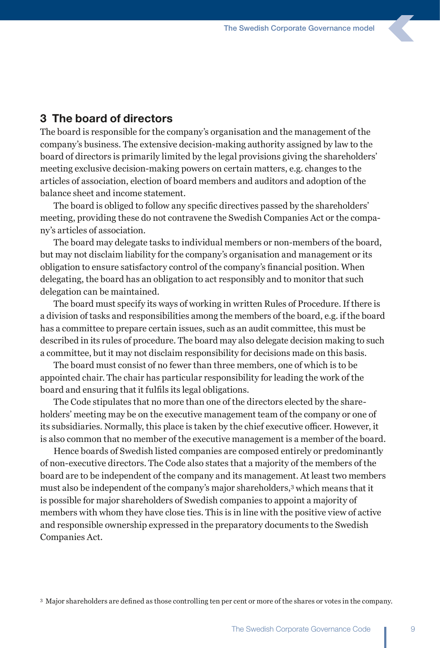### 3 The board of directors

The board is responsible for the company's organisation and the management of the company's business. The extensive decision-making authority assigned by law to the board of directors is primarily limited by the legal provisions giving the shareholders' meeting exclusive decision-making powers on certain matters, e.g. changes to the articles of association, election of board members and auditors and adoption of the balance sheet and income statement.

The board is obliged to follow any specific directives passed by the shareholders' meeting, providing these do not contravene the Swedish Companies Act or the company's articles of association.

The board may delegate tasks to individual members or non-members of the board, but may not disclaim liability for the company's organisation and management or its obligation to ensure satisfactory control of the company's financial position. When delegating, the board has an obligation to act responsibly and to monitor that such delegation can be maintained.

The board must specify its ways of working in written Rules of Procedure. If there is a division of tasks and responsibilities among the members of the board, e.g. if the board has a committee to prepare certain issues, such as an audit committee, this must be described in its rules of procedure. The board may also delegate decision making to such a committee, but it may not disclaim responsibility for decisions made on this basis.

The board must consist of no fewer than three members, one of which is to be appointed chair. The chair has particular responsibility for leading the work of the board and ensuring that it fulfils its legal obligations.

The Code stipulates that no more than one of the directors elected by the shareholders' meeting may be on the executive management team of the company or one of its subsidiaries. Normally, this place is taken by the chief executive officer. However, it is also common that no member of the executive management is a member of the board.

Hence boards of Swedish listed companies are composed entirely or predominantly of non-executive directors. The Code also states that a majority of the members of the board are to be independent of the company and its management. At least two members must also be independent of the company's major shareholders,3 which means that it is possible for major shareholders of Swedish companies to appoint a majority of members with whom they have close ties. This is in line with the positive view of active and responsible ownership expressed in the preparatory documents to the Swedish Companies Act.

<sup>3</sup> Major shareholders are defined as those controlling ten per cent or more of the shares or votes in the company.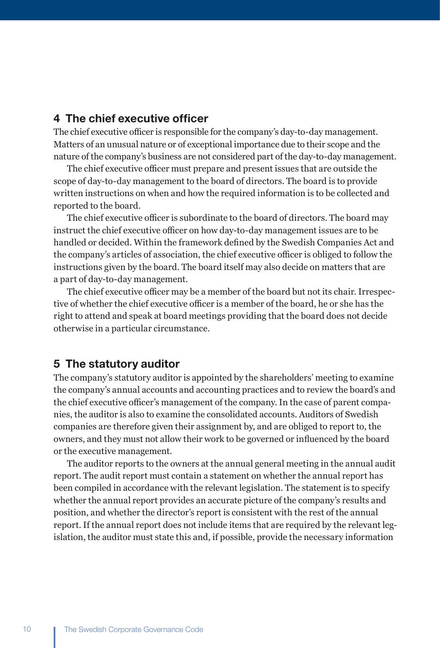### 4 The chief executive officer

The chief executive officer is responsible for the company's day-to-day management. Matters of an unusual nature or of exceptional importance due to their scope and the nature of the company's business are not considered part of the day-to-day management.

The chief executive officer must prepare and present issues that are outside the scope of day-to-day management to the board of directors. The board is to provide written instructions on when and how the required information is to be collected and reported to the board.

The chief executive officer is subordinate to the board of directors. The board may instruct the chief executive officer on how day-to-day management issues are to be handled or decided. Within the framework defined by the Swedish Companies Act and the company's articles of association, the chief executive officer is obliged to follow the instructions given by the board. The board itself may also decide on matters that are a part of day-to-day management.

The chief executive officer may be a member of the board but not its chair. Irrespective of whether the chief executive officer is a member of the board, he or she has the right to attend and speak at board meetings providing that the board does not decide otherwise in a particular circumstance.

### 5 The statutory auditor

The company's statutory auditor is appointed by the shareholders' meeting to examine the company's annual accounts and accounting practices and to review the board's and the chief executive officer's management of the company. In the case of parent companies, the auditor is also to examine the consolidated accounts. Auditors of Swedish companies are therefore given their assignment by, and are obliged to report to, the owners, and they must not allow their work to be governed or influenced by the board or the executive management.

The auditor reports to the owners at the annual general meeting in the annual audit report. The audit report must contain a statement on whether the annual report has been compiled in accordance with the relevant legislation. The statement is to specify whether the annual report provides an accurate picture of the company's results and position, and whether the director's report is consistent with the rest of the annual report. If the annual report does not include items that are required by the relevant legislation, the auditor must state this and, if possible, provide the necessary information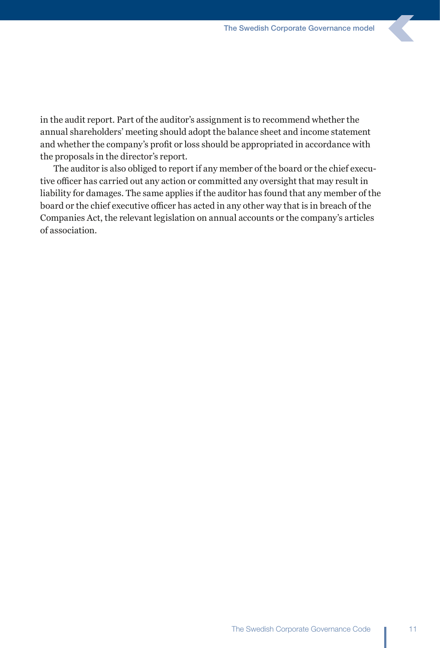in the audit report. Part of the auditor's assignment is to recommend whether the annual shareholders' meeting should adopt the balance sheet and income statement and whether the company's profit or loss should be appropriated in accordance with the proposals in the director's report.

The auditor is also obliged to report if any member of the board or the chief executive officer has carried out any action or committed any oversight that may result in liability for damages. The same applies if the auditor has found that any member of the board or the chief executive officer has acted in any other way that is in breach of the Companies Act, the relevant legislation on annual accounts or the company's articles of association.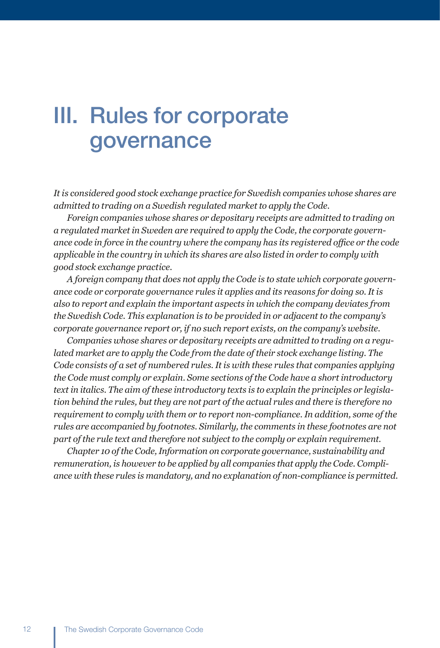## III. Rules for corporate governance

*It is considered good stock exchange practice for Swedish companies whose shares are admitted to trading on a Swedish regulated market to apply the Code.*

*Foreign companies whose shares or depositary receipts are admitted to trading on a regulated market in Sweden are required to apply the Code, the corporate governance code in force in the country where the company has its registered office or the code applicable in the country in which its shares are also listed in order to comply with good stock exchange practice.* 

*A foreign company that does not apply the Code is to state which corporate governance code or corporate governance rules it applies and its reasons for doing so. It is also to report and explain the important aspects in which the company deviates from the Swedish Code. This explanation is to be provided in or adjacent to the company's corporate governance report or, if no such report exists, on the company's website.* 

*Companies whose shares or depositary receipts are admitted to trading on a regulated market are to apply the Code from the date of their stock exchange listing. The Code consists of a set of numbered rules. It is with these rules that companies applying the Code must comply or explain. Some sections of the Code have a short introductory text in italics. The aim of these introductory texts is to explain the principles or legislation behind the rules, but they are not part of the actual rules and there is therefore no requirement to comply with them or to report non-compliance. In addition, some of the rules are accompanied by footnotes. Similarly, the comments in these footnotes are not part of the rule text and therefore not subject to the comply or explain requirement.*

*Chapter 10 of the Code, Information on corporate governance, sustainability and remuneration, is however to be applied by all companies that apply the Code. Compliance with these rules is mandatory, and no explanation of non-compliance is permitted.*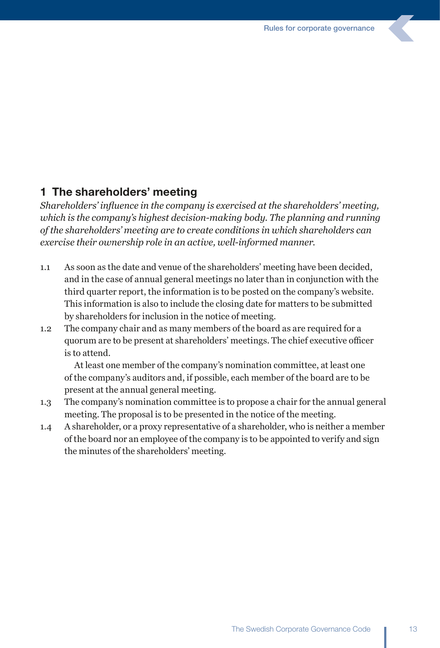### 1 The shareholders' meeting

*Shareholders' influence in the company is exercised at the shareholders' meeting, which is the company's highest decision-making body. The planning and running of the shareholders' meeting are to create conditions in which shareholders can exercise their ownership role in an active, well-informed manner.* 

- 1.1 As soon as the date and venue of the shareholders' meeting have been decided, and in the case of annual general meetings no later than in conjunction with the third quarter report, the information is to be posted on the company's website. This information is also to include the closing date for matters to be submitted by shareholders for inclusion in the notice of meeting.
- 1.2 The company chair and as many members of the board as are required for a quorum are to be present at shareholders' meetings. The chief executive officer is to attend.

 At least one member of the company's nomination committee, at least one of the company's auditors and, if possible, each member of the board are to be present at the annual general meeting.

- 1.3 The company's nomination committee is to propose a chair for the annual general meeting. The proposal is to be presented in the notice of the meeting.
- 1.4 A shareholder, or a proxy representative of a shareholder, who is neither a member of the board nor an employee of the company is to be appointed to verify and sign the minutes of the shareholders' meeting.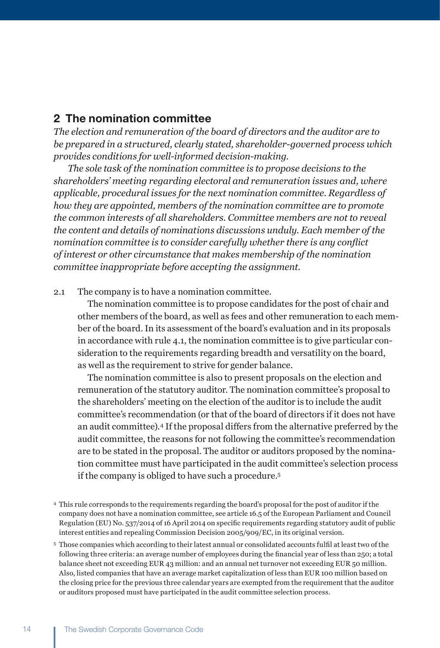### 2 The nomination committee

*The election and remuneration of the board of directors and the auditor are to be prepared in a structured, clearly stated, shareholder-governed process which provides conditions for well-informed decision-making.*

 *The sole task of the nomination committee is to propose decisions to the shareholders' meeting regarding electoral and remuneration issues and, where applicable, procedural issues for the next nomination committee. Regardless of how they are appointed, members of the nomination committee are to promote the common interests of all shareholders. Committee members are not to reveal the content and details of nominations discussions unduly. Each member of the nomination committee is to consider carefully whether there is any conflict of interest or other circumstance that makes membership of the nomination committee inappropriate before accepting the assignment.* 

#### 2.1 The company is to have a nomination committee.

 The nomination committee is to propose candidates for the post of chair and other members of the board, as well as fees and other remuneration to each member of the board. In its assessment of the board's evaluation and in its proposals in accordance with rule 4.1, the nomination committee is to give particular consideration to the requirements regarding breadth and versatility on the board, as well as the requirement to strive for gender balance.

 The nomination committee is also to present proposals on the election and remuneration of the statutory auditor. The nomination committee's proposal to the shareholders' meeting on the election of the auditor is to include the audit committee's recommendation (or that of the board of directors if it does not have an audit committee).4 If the proposal differs from the alternative preferred by the audit committee, the reasons for not following the committee's recommendation are to be stated in the proposal. The auditor or auditors proposed by the nomination committee must have participated in the audit committee's selection process if the company is obliged to have such a procedure.5

<sup>4</sup> This rule corresponds to the requirements regarding the board's proposal for the post of auditor if the company does not have a nomination committee, see article 16.5 of the European Parliament and Council Regulation (EU) No. 537/2014 of 16 April 2014 on specific requirements regarding statutory audit of public interest entities and repealing Commission Decision 2005/909/EC, in its original version.

<sup>5</sup> Those companies which according to their latest annual or consolidated accounts fulfil at least two of the following three criteria: an average number of employees during the financial year of less than 250; a total balance sheet not exceeding EUR 43 million: and an annual net turnover not exceeding EUR 50 million. Also, listed companies that have an average market capitalization of less than EUR 100 million based on the closing price for the previous three calendar years are exempted from the requirement that the auditor or auditors proposed must have participated in the audit committee selection process.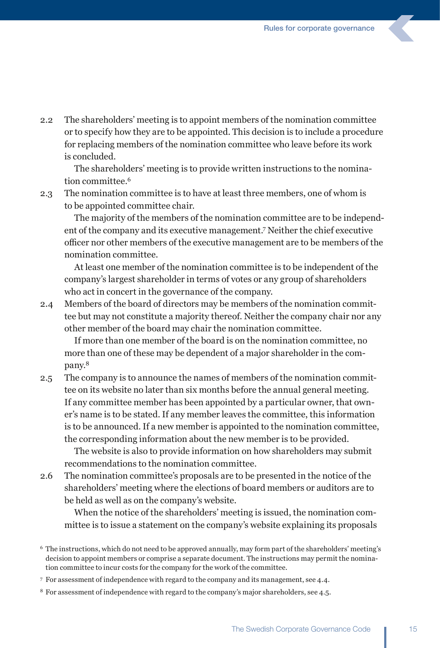2.2 The shareholders' meeting is to appoint members of the nomination committee or to specify how they are to be appointed. This decision is to include a procedure for replacing members of the nomination committee who leave before its work is concluded.

 The shareholders' meeting is to provide written instructions to the nomination committee.<sup>6</sup>

2.3 The nomination committee is to have at least three members, one of whom is to be appointed committee chair.

 The majority of the members of the nomination committee are to be independent of the company and its executive management.7 Neither the chief executive officer nor other members of the executive management are to be members of the nomination committee.

 At least one member of the nomination committee is to be independent of the company's largest shareholder in terms of votes or any group of shareholders who act in concert in the governance of the company.

2.4 Members of the board of directors may be members of the nomination committee but may not constitute a majority thereof. Neither the company chair nor any other member of the board may chair the nomination committee.

 If more than one member of the board is on the nomination committee, no more than one of these may be dependent of a major shareholder in the company.8

2.5 The company is to announce the names of members of the nomination committee on its website no later than six months before the annual general meeting. If any committee member has been appointed by a particular owner, that owner's name is to be stated. If any member leaves the committee, this information is to be announced. If a new member is appointed to the nomination committee, the corresponding information about the new member is to be provided.

 The website is also to provide information on how shareholders may submit recommendations to the nomination committee.

2.6 The nomination committee's proposals are to be presented in the notice of the shareholders' meeting where the elections of board members or auditors are to be held as well as on the company's website.

 When the notice of the shareholders' meeting is issued, the nomination committee is to issue a statement on the company's website explaining its proposals

<sup>7</sup> For assessment of independence with regard to the company and its management, see 4.4.

<sup>6</sup> The instructions, which do not need to be approved annually, may form part of the shareholders' meeting's decision to appoint members or comprise a separate document. The instructions may permit the nomination committee to incur costs for the company for the work of the committee.

<sup>8</sup> For assessment of independence with regard to the company's major shareholders, see 4.5.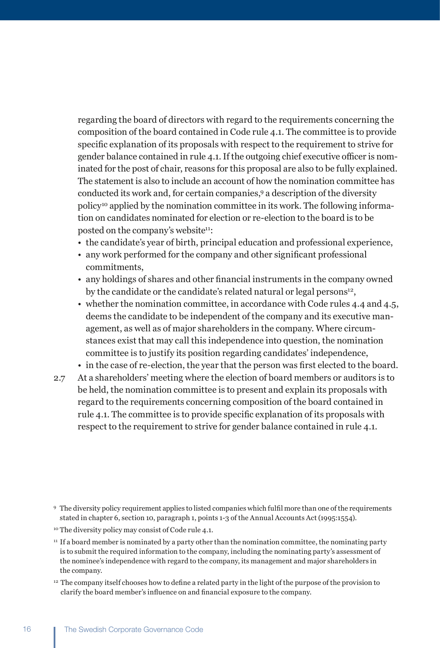regarding the board of directors with regard to the requirements concerning the composition of the board contained in Code rule 4.1. The committee is to provide specific explanation of its proposals with respect to the requirement to strive for gender balance contained in rule 4.1. If the outgoing chief executive officer is nominated for the post of chair, reasons for this proposal are also to be fully explained. The statement is also to include an account of how the nomination committee has conducted its work and, for certain companies,<sup>9</sup> a description of the diversity policy10 applied by the nomination committee in its work. The following information on candidates nominated for election or re-election to the board is to be posted on the company's website<sup>11</sup>:

- the candidate's year of birth, principal education and professional experience,
- any work performed for the company and other significant professional commitments,
- any holdings of shares and other financial instruments in the company owned by the candidate or the candidate's related natural or legal persons<sup>12</sup>,
- whether the nomination committee, in accordance with Code rules 4.4 and 4.5, deems the candidate to be independent of the company and its executive management, as well as of major shareholders in the company. Where circumstances exist that may call this independence into question, the nomination committee is to justify its position regarding candidates' independence,
- in the case of re-election, the year that the person was first elected to the board.
- 2.7 At a shareholders' meeting where the election of board members or auditors is to be held, the nomination committee is to present and explain its proposals with regard to the requirements concerning composition of the board contained in rule 4.1. The committee is to provide specific explanation of its proposals with respect to the requirement to strive for gender balance contained in rule 4.1.

<sup>12</sup>  The company itself chooses how to define a related party in the light of the purpose of the provision to clarify the board member's influence on and financial exposure to the company.

<sup>9</sup>   The diversity policy requirement applies to listed companies which fulfil more than one of the requirements stated in chapter 6, section 10, paragraph 1, points 1-3 of the Annual Accounts Act (1995:1554).

<sup>&</sup>lt;sup>10</sup> The diversity policy may consist of Code rule 4.1.

 $<sup>11</sup>$  If a board member is nominated by a party other than the nomination committee, the nominating party</sup> is to submit the required information to the company, including the nominating party's assessment of the nominee's independence with regard to the company, its management and major shareholders in the company.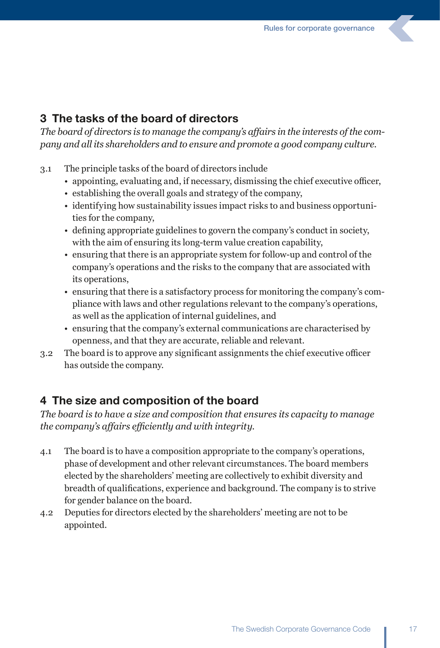### 3 The tasks of the board of directors

*The board of directors is to manage the company's affairs in the interests of the company and all its shareholders and to ensure and promote a good company culture.*

- 3.1 The principle tasks of the board of directors include
	- appointing, evaluating and, if necessary, dismissing the chief executive officer,
	- establishing the overall goals and strategy of the company,
	- identifying how sustainability issues impact risks to and business opportunities for the company,
	- defining appropriate guidelines to govern the company's conduct in society, with the aim of ensuring its long-term value creation capability,
	- ensuring that there is an appropriate system for follow-up and control of the company's operations and the risks to the company that are associated with its operations,
	- ensuring that there is a satisfactory process for monitoring the company's compliance with laws and other regulations relevant to the company's operations, as well as the application of internal guidelines, and
	- ensuring that the company's external communications are characterised by openness, and that they are accurate, reliable and relevant.
- 3.2 The board is to approve any significant assignments the chief executive officer has outside the company.

### 4 The size and composition of the board

*The board is to have a size and composition that ensures its capacity to manage the company's affairs efficiently and with integrity.* 

- 4.1 The board is to have a composition appropriate to the company's operations, phase of development and other relevant circumstances. The board members elected by the shareholders' meeting are collectively to exhibit diversity and breadth of qualifications, experience and background. The company is to strive for gender balance on the board.
- 4.2 Deputies for directors elected by the shareholders' meeting are not to be appointed.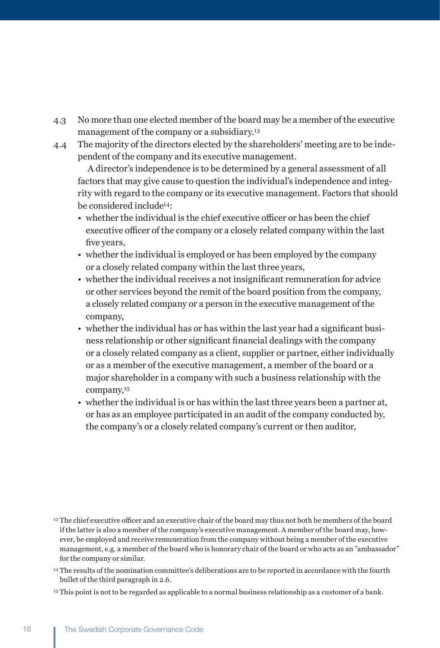- 4.3 No more than one elected member of the board may be a member of the executive management of the company or a subsidiary.<sup>13</sup>
- 4.4 The majority of the directors elected by the shareholders' meeting are to be independent of the company and its executive management.

 A director's independence is to be determined by a general assessment of all factors that may give cause to question the individual's independence and integrity with regard to the company or its executive management. Factors that should be considered include14:

- whether the individual is the chief executive officer or has been the chief executive officer of the company or a closely related company within the last five years,
- whether the individual is employed or has been employed by the company or a closely related company within the last three years,
- whether the individual receives a not insignificant remuneration for advice or other services beyond the remit of the board position from the company, a closely related company or a person in the executive management of the company,
- whether the individual has or has within the last year had a significant business relationship or other significant financial dealings with the company or a closely related company as a client, supplier or partner, either individually or as a member of the executive management, a member of the board or a major shareholder in a company with such a business relationship with the company,15
- whether the individual is or has within the last three years been a partner at, or has as an employee participated in an audit of the company conducted by, the company's or a closely related company's current or then auditor,

<sup>&</sup>lt;sup>13</sup> The chief executive officer and an executive chair of the board may thus not both be members of the board if the latter is also a member of the company's executive management. A member of the board may, however, be employed and receive remuneration from the company without being a member of the executive management, e.g. a member of the board who is honorary chair of the board or who acts as an "ambassador" for the company or similar.

<sup>14</sup> The results of the nomination committee's deliberations are to be reported in accordance with the fourth bullet of the third paragraph in 2.6.

<sup>15</sup> This point is not to be regarded as applicable to a normal business relationship as a customer of a bank.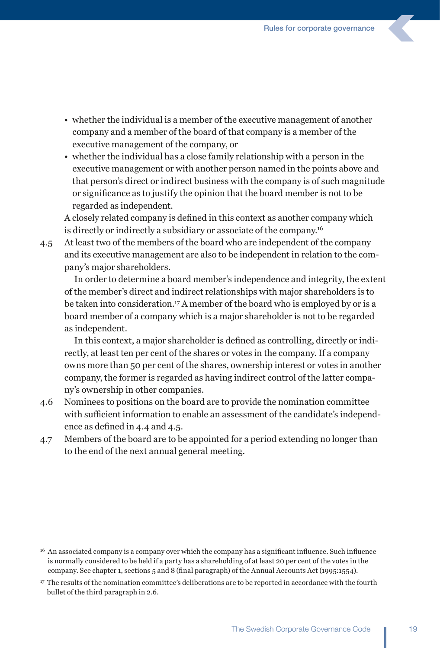- whether the individual is a member of the executive management of another company and a member of the board of that company is a member of the executive management of the company, or
- whether the individual has a close family relationship with a person in the executive management or with another person named in the points above and that person's direct or indirect business with the company is of such magnitude or significance as to justify the opinion that the board member is not to be regarded as independent.

A closely related company is defined in this context as another company which is directly or indirectly a subsidiary or associate of the company.16

4.5 At least two of the members of the board who are independent of the company and its executive management are also to be independent in relation to the company's major shareholders.

 In order to determine a board member's independence and integrity, the extent of the member's direct and indirect relationships with major shareholders is to be taken into consideration.<sup>17</sup> A member of the board who is employed by or is a board member of a company which is a major shareholder is not to be regarded as independent.

In this context, a major shareholder is defined as controlling, directly or indirectly, at least ten per cent of the shares or votes in the company. If a company owns more than 50 per cent of the shares, ownership interest or votes in another company, the former is regarded as having indirect control of the latter company's ownership in other companies.

- 4.6 Nominees to positions on the board are to provide the nomination committee with sufficient information to enable an assessment of the candidate's independence as defined in 4.4 and 4.5.
- 4.7 Members of the board are to be appointed for a period extending no longer than to the end of the next annual general meeting.

 $16$  An associated company is a company over which the company has a significant influence. Such influence is normally considered to be held if a party has a shareholding of at least 20 per cent of the votes in the company. See chapter 1, sections 5 and 8 (final paragraph) of the Annual Accounts Act (1995:1554).

<sup>17</sup> The results of the nomination committee's deliberations are to be reported in accordance with the fourth bullet of the third paragraph in 2.6.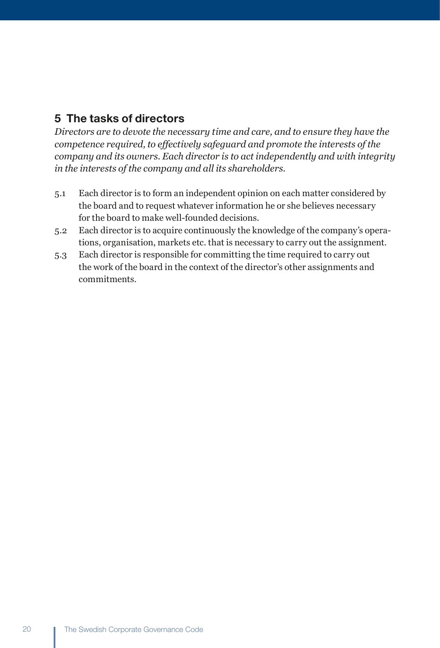## 5 The tasks of directors

*Directors are to devote the necessary time and care, and to ensure they have the competence required, to effectively safeguard and promote the interests of the company and its owners. Each director is to act independently and with integrity in the interests of the company and all its shareholders.* 

- 5.1 Each director is to form an independent opinion on each matter considered by the board and to request whatever information he or she believes necessary for the board to make well-founded decisions.
- 5.2 Each director is to acquire continuously the knowledge of the company's operations, organisation, markets etc. that is necessary to carry out the assignment.
- 5.3 Each director is responsible for committing the time required to carry out the work of the board in the context of the director's other assignments and commitments.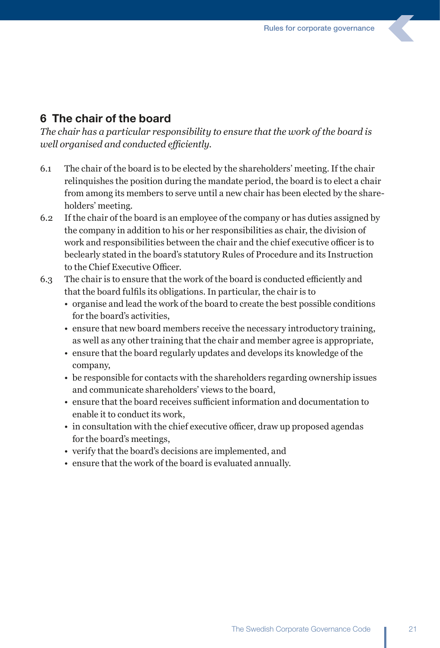### 6 The chair of the board

*The chair has a particular responsibility to ensure that the work of the board is well organised and conducted efficiently.*

- 6.1 The chair of the board is to be elected by the shareholders' meeting. If the chair relinquishes the position during the mandate period, the board is to elect a chair from among its members to serve until a new chair has been elected by the shareholders' meeting.
- 6.2 If the chair of the board is an employee of the company or has duties assigned by the company in addition to his or her responsibilities as chair, the division of work and responsibilities between the chair and the chief executive officer is to beclearly stated in the board's statutory Rules of Procedure and its Instruction to the Chief Executive Officer.
- 6.3 The chair is to ensure that the work of the board is conducted efficiently and that the board fulfils its obligations. In particular, the chair is to
	- organise and lead the work of the board to create the best possible conditions for the board's activities,
	- ensure that new board members receive the necessary introductory training, as well as any other training that the chair and member agree is appropriate,
	- ensure that the board regularly updates and develops its knowledge of the company,
	- be responsible for contacts with the shareholders regarding ownership issues and communicate shareholders' views to the board,
	- ensure that the board receives sufficient information and documentation to enable it to conduct its work,
	- in consultation with the chief executive officer, draw up proposed agendas for the board's meetings,
	- verify that the board's decisions are implemented, and
	- ensure that the work of the board is evaluated annually.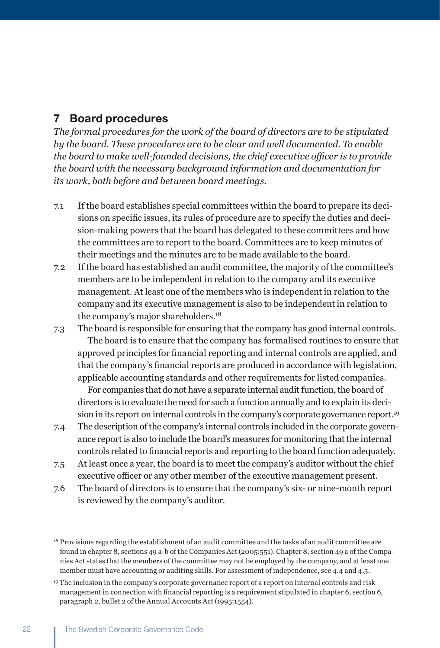### 7 Board procedures

*The formal procedures for the work of the board of directors are to be stipulated by the board. These procedures are to be clear and well documented. To enable the board to make well-founded decisions, the chief executive officer is to provide the board with the necessary background information and documentation for its work, both before and between board meetings.* 

- 7.1 If the board establishes special committees within the board to prepare its decisions on specific issues, its rules of procedure are to specify the duties and decision-making powers that the board has delegated to these committees and how the committees are to report to the board. Committees are to keep minutes of their meetings and the minutes are to be made available to the board.
- 7.2 If the board has established an audit committee, the majority of the committee's members are to be independent in relation to the company and its executive management. At least one of the members who is independent in relation to the company and its executive management is also to be independent in relation to the company's major shareholders.18
- 7.3 The board is responsible for ensuring that the company has good internal controls. The board is to ensure that the company has formalised routines to ensure that approved principles for financial reporting and internal controls are applied, and that the company's financial reports are produced in accordance with legislation, applicable accounting standards and other requirements for listed companies.

 For companies that do not have a separate internal audit function, the board of directors is to evaluate the need for such a function annually and to explain its decision in its report on internal controls in the company's corporate governance report.19

- 7.4 The description of the company's internal controls included in the corporate governance report is also to include the board's measures for monitoring that the internal controls related to financial reports and reporting to the board function adequately.
- 7.5 At least once a year, the board is to meet the company's auditor without the chief executive officer or any other member of the executive management present.
- 7.6 The board of directors is to ensure that the company's six- or nine-month report is reviewed by the company's auditor.

<sup>&</sup>lt;sup>18</sup> Provisions regarding the establishment of an audit committee and the tasks of an audit committee are found in chapter 8, sections 49 a-b of the Companies Act (2005:551). Chapter 8, section 49 a of the Companies Act states that the members of the committee may not be employed by the company, and at least one member must have accounting or auditing skills. For assessment of independence, see 4.4 and 4.5.

<sup>19</sup> The inclusion in the company's corporate governance report of a report on internal controls and risk management in connection with financial reporting is a requirement stipulated in chapter 6, section 6, paragraph 2, bullet 2 of the Annual Accounts Act (1995:1554).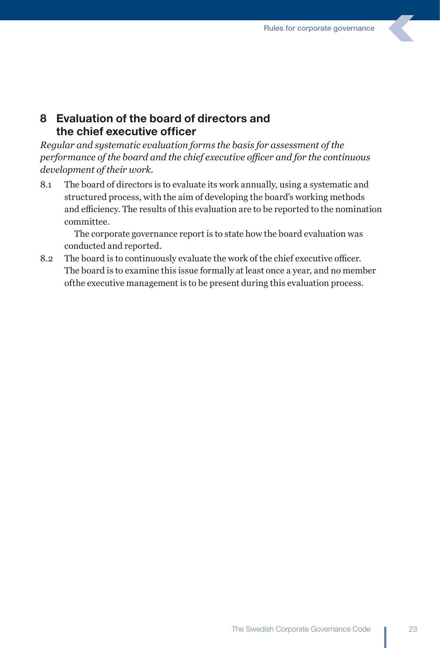### 8 Evaluation of the board of directors and the chief executive officer

*Regular and systematic evaluation forms the basis for assessment of the performance of the board and the chief executive officer and for the continuous development of their work.*

8.1 The board of directors is to evaluate its work annually, using a systematic and structured process, with the aim of developing the board's working methods and efficiency. The results of this evaluation are to be reported to the nomination committee.

 The corporate governance report is to state how the board evaluation was conducted and reported.

8.2 The board is to continuously evaluate the work of the chief executive officer. The board is to examine this issue formally at least once a year, and no member ofthe executive management is to be present during this evaluation process.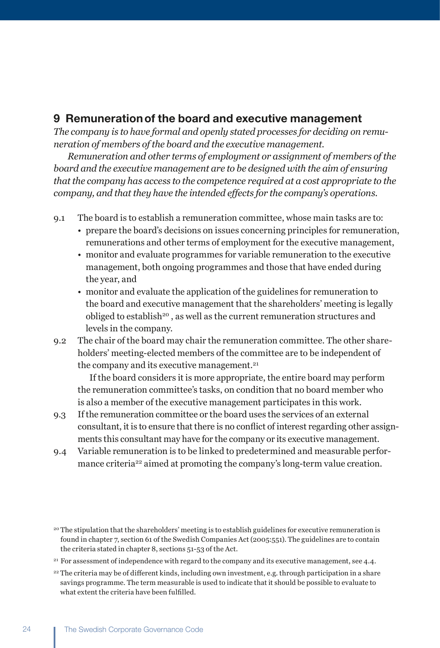### 9 Remunerationof the board and executive management

*The company is to have formal and openly stated processes for deciding on remuneration of members of the board and the executive management.*

 *Remuneration and other terms of employment or assignment of members of the board and the executive management are to be designed with the aim of ensuring that the company has access to the competence required at a cost appropriate to the company, and that they have the intended effects for the company's operations.*

- 9.1 The board is to establish a remuneration committee, whose main tasks are to:
	- prepare the board's decisions on issues concerning principles for remuneration, remunerations and other terms of employment for the executive management,
	- monitor and evaluate programmes for variable remuneration to the executive management, both ongoing programmes and those that have ended during the year, and
	- monitor and evaluate the application of the guidelines for remuneration to the board and executive management that the shareholders' meeting is legally obliged to establish<sup>20</sup>, as well as the current remuneration structures and levels in the company.
- 9.2 The chair of the board may chair the remuneration committee. The other shareholders' meeting-elected members of the committee are to be independent of the company and its executive management.21

 If the board considers it is more appropriate, the entire board may perform the remuneration committee's tasks, on condition that no board member who is also a member of the executive management participates in this work.

- 9.3 If the remuneration committee or the board uses the services of an external consultant, it is to ensure that there is no conflict of interest regarding other assignments this consultant may have for the company or its executive management.
- 9.4 Variable remuneration is to be linked to predetermined and measurable performance criteria<sup>22</sup> aimed at promoting the company's long-term value creation.

<sup>&</sup>lt;sup>20</sup> The stipulation that the shareholders' meeting is to establish guidelines for executive remuneration is found in chapter 7, section 61 of the Swedish Companies Act (2005:551). The guidelines are to contain the criteria stated in chapter 8, sections 51-53 of the Act.

<sup>&</sup>lt;sup>21</sup> For assessment of independence with regard to the company and its executive management, see 4.4.

<sup>&</sup>lt;sup>22</sup> The criteria may be of different kinds, including own investment, e.g. through participation in a share savings programme. The term measurable is used to indicate that it should be possible to evaluate to what extent the criteria have been fulfilled.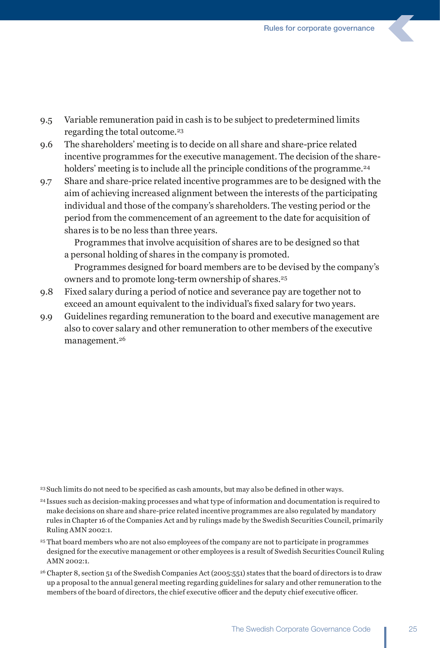- 9.5 Variable remuneration paid in cash is to be subject to predetermined limits regarding the total outcome.23
- 9.6 The shareholders' meeting is to decide on all share and share-price related incentive programmes for the executive management. The decision of the shareholders' meeting is to include all the principle conditions of the programme.<sup>24</sup>
- 9.7 Share and share-price related incentive programmes are to be designed with the aim of achieving increased alignment between the interests of the participating individual and those of the company's shareholders. The vesting period or the period from the commencement of an agreement to the date for acquisition of shares is to be no less than three years.

 Programmes that involve acquisition of shares are to be designed so that a personal holding of shares in the company is promoted.

 Programmes designed for board members are to be devised by the company's owners and to promote long-term ownership of shares.25

- 9.8 Fixed salary during a period of notice and severance pay are together not to exceed an amount equivalent to the individual's fixed salary for two years.
- 9.9 Guidelines regarding remuneration to the board and executive management are also to cover salary and other remuneration to other members of the executive management.26

<sup>23</sup> Such limits do not need to be specified as cash amounts, but may also be defined in other ways.

- 24 Issues such as decision-making processes and what type of information and documentation is required to make decisions on share and share-price related incentive programmes are also regulated by mandatory rules in Chapter 16 of the Companies Act and by rulings made by the Swedish Securities Council, primarily Ruling AMN 2002:1.
- <sup>25</sup> That board members who are not also employees of the company are not to participate in programmes designed for the executive management or other employees is a result of Swedish Securities Council Ruling AMN 2002:1.
- <sup>26</sup> Chapter 8, section 51 of the Swedish Companies Act (2005:551) states that the board of directors is to draw up a proposal to the annual general meeting regarding guidelines for salary and other remuneration to the members of the board of directors, the chief executive officer and the deputy chief executive officer.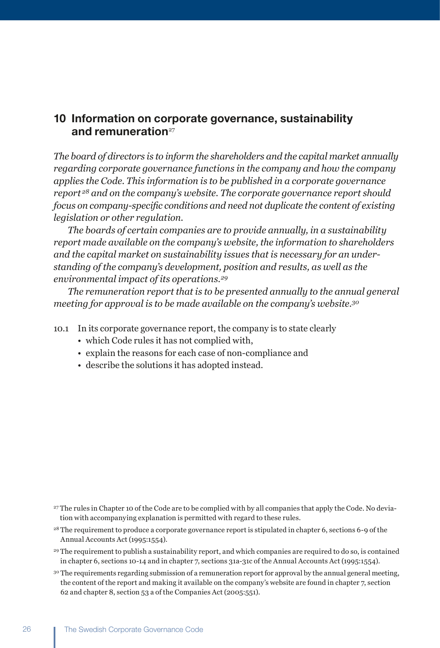### 10 Information on corporate governance, sustainability and remuneration $27$

*The board of directors is to inform the shareholders and the capital market annually regarding corporate governance functions in the company and how the company applies the Code. This information is to be published in a corporate governance report 28 and on the company's website. The corporate governance report should focus on company-specific conditions and need not duplicate the content of existing legislation or other regulation.* 

 *The boards of certain companies are to provide annually, in a sustainability report made available on the company's website, the information to shareholders and the capital market on sustainability issues that is necessary for an understanding of the company's development, position and results, as well as the environmental impact of its operations.29*

 *The remuneration report that is to be presented annually to the annual general meeting for approval is to be made available on the company's website.30*

- 10.1 In its corporate governance report, the company is to state clearly
	- which Code rules it has not complied with,
	- explain the reasons for each case of non-compliance and
	- describe the solutions it has adopted instead.

- <sup>28</sup> The requirement to produce a corporate governance report is stipulated in chapter 6, sections 6-9 of the Annual Accounts Act (1995:1554).
- <sup>29</sup> The requirement to publish a sustainability report, and which companies are required to do so, is contained in chapter 6, sections 10-14 and in chapter 7, sections 31a-31c of the Annual Accounts Act (1995:1554).
- <sup>30</sup> The requirements regarding submission of a remuneration report for approval by the annual general meeting, the content of the report and making it available on the company's website are found in chapter 7, section 62 and chapter 8, section 53 a of the Companies Act (2005:551).

<sup>27</sup> The rules in Chapter 10 of the Code are to be complied with by all companies that apply the Code. No deviation with accompanying explanation is permitted with regard to these rules.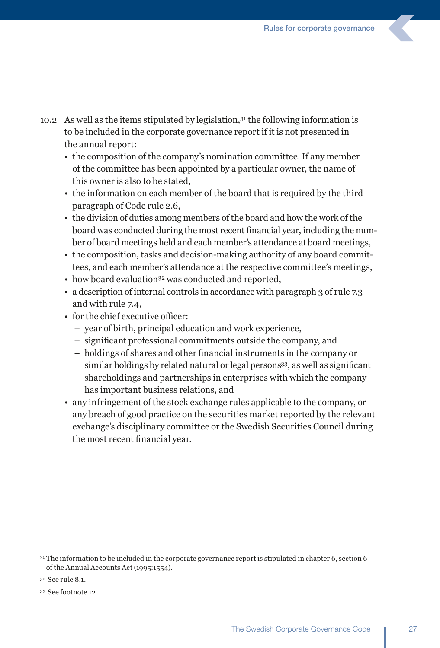- 10.2 As well as the items stipulated by legislation,31 the following information is to be included in the corporate governance report if it is not presented in the annual report:
	- the composition of the company's nomination committee. If any member of the committee has been appointed by a particular owner, the name of this owner is also to be stated,
	- the information on each member of the board that is required by the third paragraph of Code rule 2.6,
	- the division of duties among members of the board and how the work of the board was conducted during the most recent financial year, including the number of board meetings held and each member's attendance at board meetings,
	- the composition, tasks and decision-making authority of any board committees, and each member's attendance at the respective committee's meetings,
	- how board evaluation<sup>32</sup> was conducted and reported,
	- a description of internal controls in accordance with paragraph 3 of rule 7.3 and with rule 7.4,
	- for the chief executive officer:
		- year of birth, principal education and work experience,
		- significant professional commitments outside the company, and
		- holdings of shares and other financial instruments in the company or similar holdings by related natural or legal persons<sup>33</sup>, as well as significant shareholdings and partnerships in enterprises with which the company has important business relations, and
	- any infringement of the stock exchange rules applicable to the company, or any breach of good practice on the securities market reported by the relevant exchange's disciplinary committee or the Swedish Securities Council during the most recent financial year.

<sup>31</sup> The information to be included in the corporate governance report is stipulated in chapter 6, section 6 of the Annual Accounts Act (1995:1554).

<sup>32</sup> See rule 8.1.

<sup>33</sup> See footnote 12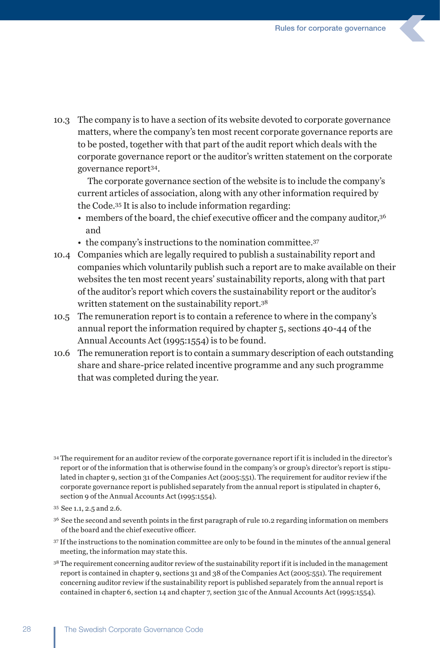10.3 The company is to have a section of its website devoted to corporate governance matters, where the company's ten most recent corporate governance reports are to be posted, together with that part of the audit report which deals with the corporate governance report or the auditor's written statement on the corporate governance report34.

 The corporate governance section of the website is to include the company's current articles of association, along with any other information required by the Code.35 It is also to include information regarding:

- members of the board, the chief executive officer and the company auditor, 36 and
- the company's instructions to the nomination committee.37
- 10.4 Companies which are legally required to publish a sustainability report and companies which voluntarily publish such a report are to make available on their websites the ten most recent years' sustainability reports, along with that part of the auditor's report which covers the sustainability report or the auditor's written statement on the sustainability report.38
- 10.5 The remuneration report is to contain a reference to where in the company's annual report the information required by chapter 5, sections 40-44 of the Annual Accounts Act (1995:1554) is to be found.
- 10.6 The remuneration report is to contain a summary description of each outstanding share and share-price related incentive programme and any such programme that was completed during the year.

- <sup>36</sup>  See the second and seventh points in the first paragraph of rule 10.2 regarding information on members of the board and the chief executive officer.
- <sup>37</sup> If the instructions to the nomination committee are only to be found in the minutes of the annual general meeting, the information may state this.
- <sup>38</sup> The requirement concerning auditor review of the sustainability report if it is included in the management report is contained in chapter 9, sections 31 and 38 of the Companies Act (2005:551). The requirement concerning auditor review if the sustainability report is published separately from the annual report is contained in chapter 6, section 14 and chapter 7, section 31c of the Annual Accounts Act (1995:1554).

<sup>34</sup> The requirement for an auditor review of the corporate governance report if it is included in the director's report or of the information that is otherwise found in the company's or group's director's report is stipulated in chapter 9, section 31 of the Companies Act (2005:551). The requirement for auditor review if the corporate governance report is published separately from the annual report is stipulated in chapter 6, section 9 of the Annual Accounts Act (1995:1554).

<sup>35</sup> See 1.1, 2.5 and 2.6.